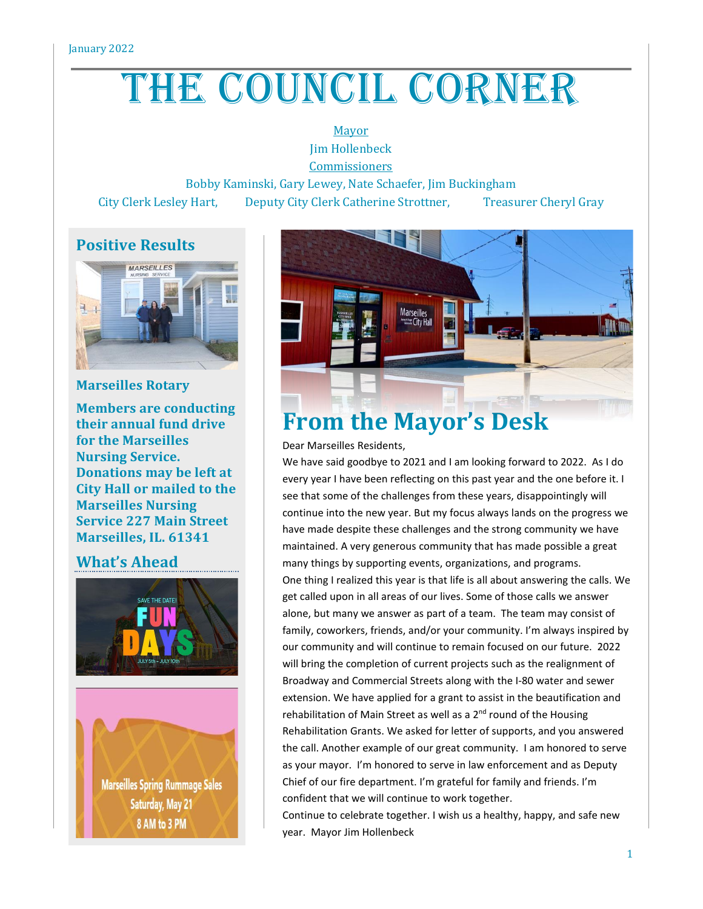# THE COUNCIL CORNER

Mayor Jim Hollenbeck

Commissioners

Bobby Kaminski, Gary Lewey, Nate Schaefer, Jim Buckingham

City Clerk Lesley Hart, Deputy City Clerk Catherine Strottner, Treasurer Cheryl Gray

# **Positive Results**



### **Marseilles Rotary**

**Members are conducting their annual fund drive for the Marseilles Nursing Service. Donations may be left at City Hall or mailed to the Marseilles Nursing Service 227 Main Street Marseilles, IL. 61341**

### **What's Ahead**





# **From the Mayor's Desk**

Dear Marseilles Residents,

We have said goodbye to 2021 and I am looking forward to 2022. As I do every year I have been reflecting on this past year and the one before it. I see that some of the challenges from these years, disappointingly will continue into the new year. But my focus always lands on the progress we have made despite these challenges and the strong community we have maintained. A very generous community that has made possible a great many things by supporting events, organizations, and programs. One thing I realized this year is that life is all about answering the calls. We get called upon in all areas of our lives. Some of those calls we answer alone, but many we answer as part of a team. The team may consist of family, coworkers, friends, and/or your community. I'm always inspired by our community and will continue to remain focused on our future. 2022 will bring the completion of current projects such as the realignment of Broadway and Commercial Streets along with the I-80 water and sewer extension. We have applied for a grant to assist in the beautification and rehabilitation of Main Street as well as a 2<sup>nd</sup> round of the Housing Rehabilitation Grants. We asked for letter of supports, and you answered the call. Another example of our great community. I am honored to serve as your mayor. I'm honored to serve in law enforcement and as Deputy Chief of our fire department. I'm grateful for family and friends. I'm confident that we will continue to work together.

Continue to celebrate together. I wish us a healthy, happy, and safe new year. Mayor Jim Hollenbeck